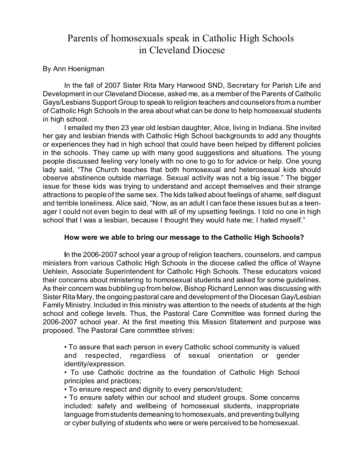## Parents of homosexuals speak in Catholic High Schools in Cleveland Diocese

## By Ann Hoenigman

In the fall of 2007 Sister Rita Mary Harwood SND, Secretary for Parish Life and Development in our Cleveland Diocese, asked me, as a member of the Parents of Catholic Gays/Lesbians Support Group to speak to religion teachers and counselors from a number of Catholic High Schools in the area about what can be done to help homosexual students in high school.

I emailed my then 23 year old lesbian daughter, Alice, living in Indiana. She invited her gay and lesbian friends with Catholic High School backgrounds to add any thoughts or experiences they had in high school that could have been helped by different policies in the schools. They came up with many good suggestions and situations. The young people discussed feeling very lonely with no one to go to for advice or help. One young lady said, "The Church teaches that both homosexual and heterosexual kids should observe abstinence outside marriage. Sexual activity was not a big issue." The bigger issue for these kids was trying to understand and accept themselves and their strange attractions to people of the same sex. The kids talked about feelings of shame, self disgust and terrible loneliness. Alice said, "Now, as an adult I can face these issues but as a teenager I could not even begin to deal with all of my upsetting feelings. I told no one in high school that I was a lesbian, because I thought they would hate me; I hated myself."

## **How were we able to bring our message to the Catholic High Schools?**

**I**n the 2006-2007 school year a group of religion teachers, counselors, and campus ministers from various Catholic High Schools in the diocese called the office of Wayne Uehlein, Associate Superintendent for Catholic High Schools. These educators voiced their concerns about ministering to homosexual students and asked for some guidelines. As their concern was bubbling up from below, Bishop Richard Lennon was discussing with Sister Rita Mary, the ongoing pastoral care and development of the Diocesan Gay/Lesbian Family Ministry. Included in this ministry was attention to the needs of students at the high school and college levels. Thus, the Pastoral Care Committee was formed during the 2006-2007 school year. At the first meeting this Mission Statement and purpose was proposed. The Pastoral Care committee strives:

• To assure that each person in every Catholic school community is valued and respected, regardless of sexual orientation or gender identity/expression.

• To use Catholic doctrine as the foundation of Catholic High School principles and practices;

• To ensure respect and dignity to every person/student;

• To ensure safety within our school and student groups. Some concerns included: safety and wellbeing of homosexual students, inappropriate language from students demeaning to homosexuals, and preventing bullying or cyber bullying of students who were or were perceived to be homosexual.